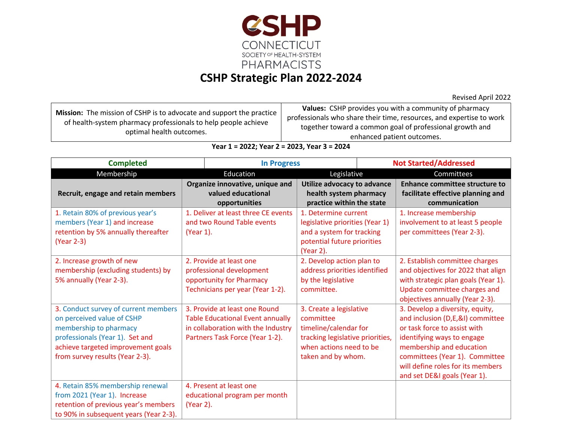

## **CSHP Strategic Plan 2022-2024**

Revised April 2022

| <b>Mission:</b> The mission of CSHP is to advocate and support the practice<br>of health-system pharmacy professionals to help people achieve<br>optimal health outcomes. | Values: CSHP provides you with a community of pharmacy               |  |  |
|---------------------------------------------------------------------------------------------------------------------------------------------------------------------------|----------------------------------------------------------------------|--|--|
|                                                                                                                                                                           | professionals who share their time, resources, and expertise to work |  |  |
|                                                                                                                                                                           | together toward a common goal of professional growth and             |  |  |
|                                                                                                                                                                           | enhanced patient outcomes.                                           |  |  |

## **Year 1 = 2022; Year 2 = 2023, Year 3 = 2024**

| <b>Completed</b>                                                                                                                                                                                         |           | <b>In Progress</b>                                                                                                                                |                                                                                                                                                    | <b>Not Started/Addressed</b> |                                                                                                                                                                                                                                                                      |
|----------------------------------------------------------------------------------------------------------------------------------------------------------------------------------------------------------|-----------|---------------------------------------------------------------------------------------------------------------------------------------------------|----------------------------------------------------------------------------------------------------------------------------------------------------|------------------------------|----------------------------------------------------------------------------------------------------------------------------------------------------------------------------------------------------------------------------------------------------------------------|
| Membership                                                                                                                                                                                               |           | Education                                                                                                                                         | Legislative                                                                                                                                        |                              | Committees                                                                                                                                                                                                                                                           |
| Recruit, engage and retain members                                                                                                                                                                       |           | Organize innovative, unique and<br>valued educational<br>opportunities                                                                            | Utilize advocacy to advance<br>health system pharmacy<br>practice within the state                                                                 |                              | <b>Enhance committee structure to</b><br>facilitate effective planning and<br>communication                                                                                                                                                                          |
| 1. Retain 80% of previous year's<br>members (Year 1) and increase<br>retention by 5% annually thereafter<br>(Year 2-3)                                                                                   | (Year 1). | 1. Deliver at least three CE events<br>and two Round Table events                                                                                 | 1. Determine current<br>legislative priorities (Year 1)<br>and a system for tracking<br>potential future priorities<br>(Year 2).                   |                              | 1. Increase membership<br>involvement to at least 5 people<br>per committees (Year 2-3).                                                                                                                                                                             |
| 2. Increase growth of new<br>membership (excluding students) by<br>5% annually (Year 2-3).                                                                                                               |           | 2. Provide at least one<br>professional development<br>opportunity for Pharmacy<br>Technicians per year (Year 1-2).                               | 2. Develop action plan to<br>address priorities identified<br>by the legislative<br>committee.                                                     |                              | 2. Establish committee charges<br>and objectives for 2022 that align<br>with strategic plan goals (Year 1).<br>Update committee charges and<br>objectives annually (Year 2-3).                                                                                       |
| 3. Conduct survey of current members<br>on perceived value of CSHP<br>membership to pharmacy<br>professionals (Year 1). Set and<br>achieve targeted improvement goals<br>from survey results (Year 2-3). |           | 3. Provide at least one Round<br><b>Table Educational Event annually</b><br>in collaboration with the Industry<br>Partners Task Force (Year 1-2). | 3. Create a legislative<br>committee<br>timeline/calendar for<br>tracking legislative priorities,<br>when actions need to be<br>taken and by whom. |                              | 3. Develop a diversity, equity,<br>and inclusion (D,E,&I) committee<br>or task force to assist with<br>identifying ways to engage<br>membership and education<br>committees (Year 1). Committee<br>will define roles for its members<br>and set DE&I goals (Year 1). |
| 4. Retain 85% membership renewal<br>from 2021 (Year 1). Increase<br>retention of previous year's members<br>to 90% in subsequent years (Year 2-3).                                                       | (Year 2). | 4. Present at least one<br>educational program per month                                                                                          |                                                                                                                                                    |                              |                                                                                                                                                                                                                                                                      |